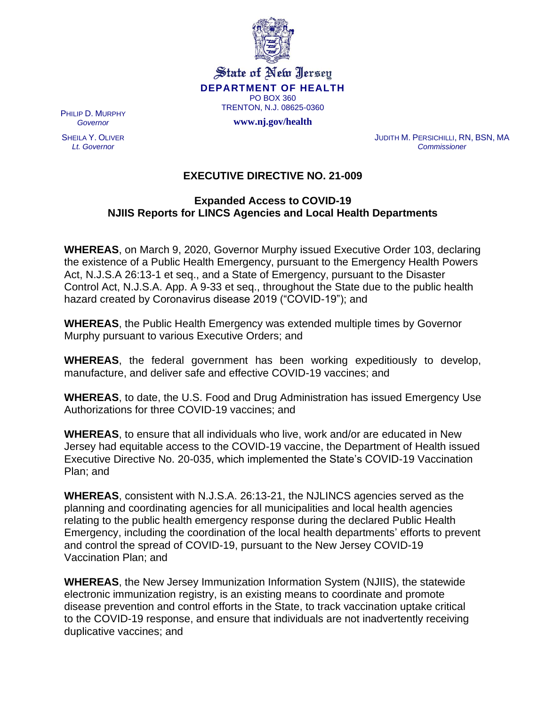

State of New Jersey **DEPARTMENT OF HEALTH** PO BOX 360 TRENTON, N.J. 08625-0360

**www.nj.gov/health**

PHILIP D. MURPHY *Governor*

SHEILA Y. OLIVER *Lt. Governor*

JUDITH M. PERSICHILLI, RN, BSN, MA *Commissioner*

## **EXECUTIVE DIRECTIVE NO. 21-009**

## **Expanded Access to COVID-19 NJIIS Reports for LINCS Agencies and Local Health Departments**

**WHEREAS**, on March 9, 2020, Governor Murphy issued Executive Order 103, declaring the existence of a Public Health Emergency, pursuant to the Emergency Health Powers Act, N.J.S.A 26:13-1 et seq., and a State of Emergency, pursuant to the Disaster Control Act, N.J.S.A. App. A 9-33 et seq., throughout the State due to the public health hazard created by Coronavirus disease 2019 ("COVID-19"); and

**WHEREAS**, the Public Health Emergency was extended multiple times by Governor Murphy pursuant to various Executive Orders; and

**WHEREAS**, the federal government has been working expeditiously to develop, manufacture, and deliver safe and effective COVID-19 vaccines; and

**WHEREAS**, to date, the U.S. Food and Drug Administration has issued Emergency Use Authorizations for three COVID-19 vaccines; and

**WHEREAS**, to ensure that all individuals who live, work and/or are educated in New Jersey had equitable access to the COVID-19 vaccine, the Department of Health issued Executive Directive No. 20-035, which implemented the State's COVID-19 Vaccination Plan; and

**WHEREAS**, consistent with N.J.S.A. 26:13-21, the NJLINCS agencies served as the planning and coordinating agencies for all municipalities and local health agencies relating to the public health emergency response during the declared Public Health Emergency, including the coordination of the local health departments' efforts to prevent and control the spread of COVID-19, pursuant to the New Jersey COVID-19 Vaccination Plan; and

**WHEREAS**, the New Jersey Immunization Information System (NJIIS), the statewide electronic immunization registry, is an existing means to coordinate and promote disease prevention and control efforts in the State, to track vaccination uptake critical to the COVID-19 response, and ensure that individuals are not inadvertently receiving duplicative vaccines; and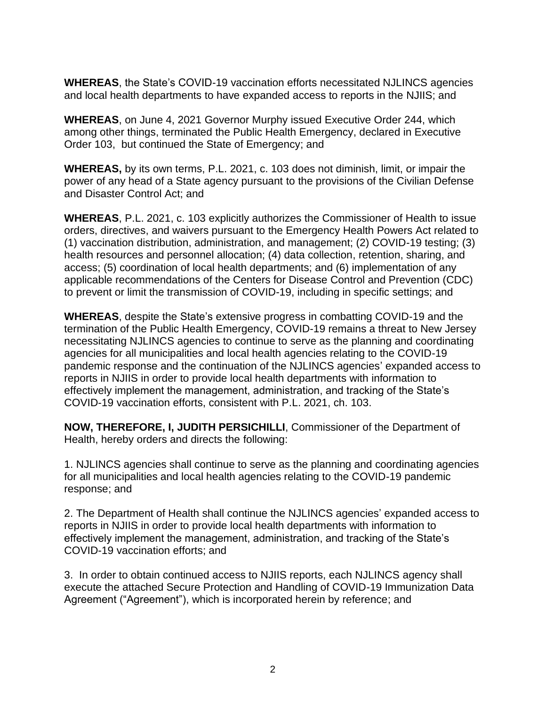**WHEREAS**, the State's COVID-19 vaccination efforts necessitated NJLINCS agencies and local health departments to have expanded access to reports in the NJIIS; and

**WHEREAS**, on June 4, 2021 Governor Murphy issued Executive Order 244, which among other things, terminated the Public Health Emergency, declared in Executive Order 103, but continued the State of Emergency; and

**WHEREAS,** by its own terms, P.L. 2021, c. 103 does not diminish, limit, or impair the power of any head of a State agency pursuant to the provisions of the Civilian Defense and Disaster Control Act; and

**WHEREAS**, P.L. 2021, c. 103 explicitly authorizes the Commissioner of Health to issue orders, directives, and waivers pursuant to the Emergency Health Powers Act related to (1) vaccination distribution, administration, and management; (2) COVID-19 testing; (3) health resources and personnel allocation; (4) data collection, retention, sharing, and access; (5) coordination of local health departments; and (6) implementation of any applicable recommendations of the Centers for Disease Control and Prevention (CDC) to prevent or limit the transmission of COVID-19, including in specific settings; and

**WHEREAS**, despite the State's extensive progress in combatting COVID-19 and the termination of the Public Health Emergency, COVID-19 remains a threat to New Jersey necessitating NJLINCS agencies to continue to serve as the planning and coordinating agencies for all municipalities and local health agencies relating to the COVID-19 pandemic response and the continuation of the NJLINCS agencies' expanded access to reports in NJIIS in order to provide local health departments with information to effectively implement the management, administration, and tracking of the State's COVID-19 vaccination efforts, consistent with P.L. 2021, ch. 103.

**NOW, THEREFORE, I, JUDITH PERSICHILLI**, Commissioner of the Department of Health, hereby orders and directs the following:

1. NJLINCS agencies shall continue to serve as the planning and coordinating agencies for all municipalities and local health agencies relating to the COVID-19 pandemic response; and

2. The Department of Health shall continue the NJLINCS agencies' expanded access to reports in NJIIS in order to provide local health departments with information to effectively implement the management, administration, and tracking of the State's COVID-19 vaccination efforts; and

3. In order to obtain continued access to NJIIS reports, each NJLINCS agency shall execute the attached Secure Protection and Handling of COVID-19 Immunization Data Agreement ("Agreement"), which is incorporated herein by reference; and